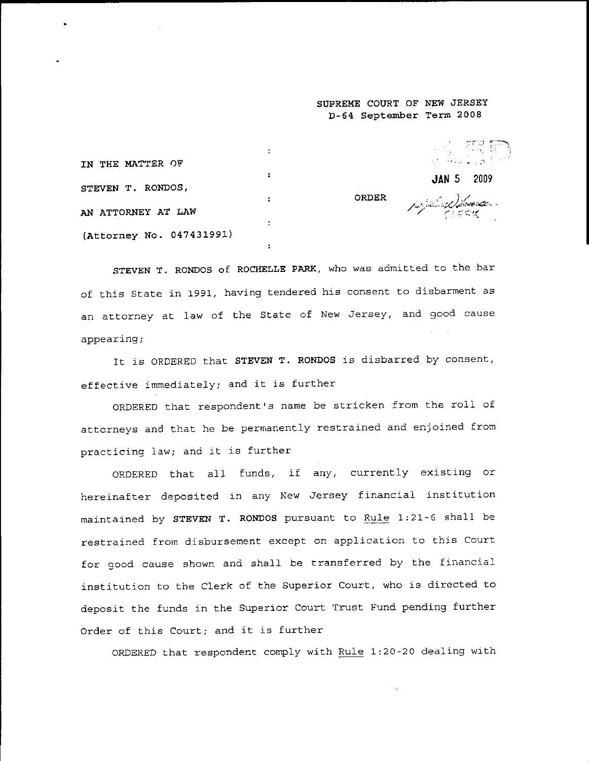## **SUPREME COURT OF NEW JERSEY D-64 September Term 2008**

| IN THE MATTER OF         |  | a de ste po<br>$\label{eq:2.1} \mathcal{L}_{\mathcal{A}}(\mathcal{A}) = \mathcal{L}_{\mathcal{A}}(\mathcal{A}) = \mathcal{L}_{\mathcal{A}}(\mathcal{A}) = \mathcal{L}_{\mathcal{A}}(\mathcal{A})$ |
|--------------------------|--|---------------------------------------------------------------------------------------------------------------------------------------------------------------------------------------------------|
| STEVEN T. RONDOS,        |  | <b>JAN 5 2009</b>                                                                                                                                                                                 |
|                          |  | ORDER / Andrew Manual                                                                                                                                                                             |
| AN ATTORNEY AT LAW       |  |                                                                                                                                                                                                   |
| (Attorney No. 047431991) |  |                                                                                                                                                                                                   |

STEVEN T. RONDOS of ROCHELLE PARK, who was admitted to the bar of this State in 1991, having tendered his consent to disbarment as an attorney at law of the State of New Jersey, and good caus appearing;

It is ORDERED that STEVEN T. RONDOS is disbarred by consent effective immediately; and it is further

ORDERED that respondent's name be stricken from the roll of attorneys and that he be permanently restrained and enjoined from practicing law; and it is further

ORDERED that all funds, if any, currently existing or hereinafter deposited in any New Jersey financial institution maintained by STEVEN T. RONDOS pursuant to Rule 1:21-6 shall be restrained from disbursement except on application to this Court for good cause shown and shal! be transferred by the financial institution to the Clerk of the Superior Court, who is directed to deposit the funds in the Superior Court Trust Fund pending further Order of this Court; and it is further

ORDERED that respondent comply with Rule 1:20-20 dealing with

Tarpic